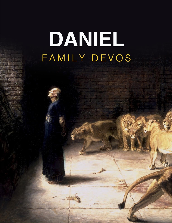# DANIEL FAMILY DEVOS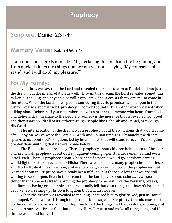### **Prophecy**

#### **Scripture:** Daniel 2:31-49

#### **Memory Verse:** Isaiah 46:9b-10

"I am God, and there is none like Me, declaring the end from the beginning, and from ancient times the things that are not yet done, saying, 'My counsel shall stand, and I will do all my pleasure.'"

#### **For My Family:**

Last time, we saw that the Lord had revealed the king's dream to Daniel, and not just the dream, but the interpretation as well. Through this dream, the Lord revealed something to Daniel, the king, and anyone else willing to listen, about events that were still to come in the future. When the Lord shows people something that He promises will happen in the future, we use a special word: prophecy. The word sounds like another word we used when talking about Deborah. If you remember, she was a prophet, someone who hears from God and delivers that message to the people. Prophecy is the message that is revealed from God and then shared with all of us, either through people like Deborah and Daniel, or through His Word.

The interpretation of the dream was a prophecy about the kingdoms that would come after Babylon, which were the Persian, Greek and Roman Empires. Ultimately, the dream speaks to us about God's kingdom, led by Jesus Christ, that will stand forever. It's a kingdom greater than anything that has ever come before.

The Bible is full of prophecy. There is prophecy about children being born to Abraham and Zechariah, prophecy about God's judgment coming against Israel's enemies, and even Israel itself. There is prophecy about where specific people would go, or where armies would fight, like those revealed to Elisha. There are also many, many prophecies about Jesus and His birth, death, resurrection, and eventual reign on earth. Lots of the prophecies that we read about in Scripture have already been fulfilled, but there are lots that we are still waiting to see happen. Even in the dream that the Lord gave Nebuchadnezzar, we see some things that happened already (proving the prophecy to be real) like the Persians, Greeks, and Romans having great empires that eventually fell, but also things that haven't happened yet, like Jesus setting up His own Kingdom that will last forever.

When the dream was revealed to the king, it caused him to glorify God, just as Daniel had hoped. When we read through the prophetic passages of Scripture, it should cause us to do the same, to praise God and worship Him for all the things that He has done, is doing, and will do in our lives. Praise God that one day, He will return and make all things new, and His throne will stand forever!